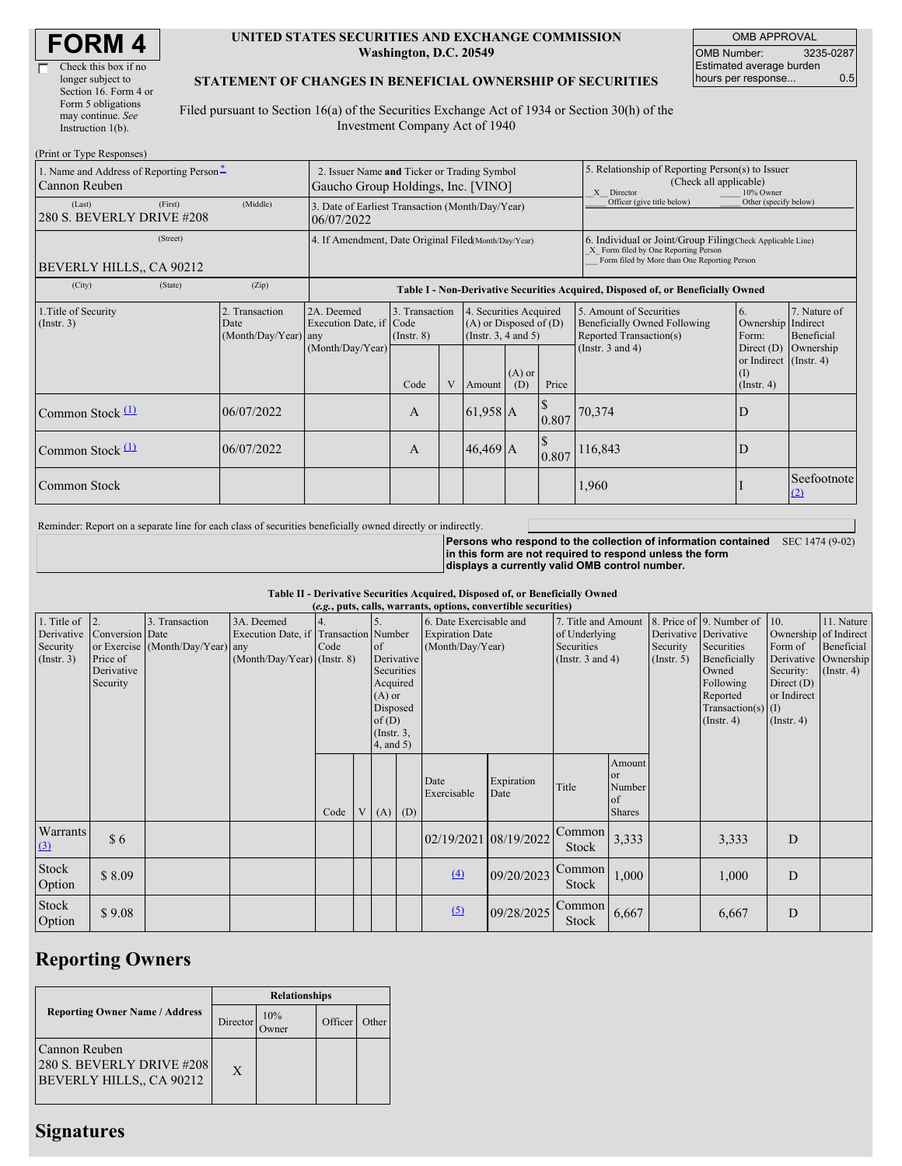| Check this box if no  |
|-----------------------|
| longer subject to     |
| Section 16. Form 4 or |
| Form 5 obligations    |
| may continue. See     |
| Instruction $1(b)$ .  |
|                       |

### **UNITED STATES SECURITIES AND EXCHANGE COMMISSION Washington, D.C. 20549**

OMB APPROVAL OMB Number: 3235-0287 Estimated average burden hours per response... 0.5

### **STATEMENT OF CHANGES IN BENEFICIAL OWNERSHIP OF SECURITIES**

Filed pursuant to Section 16(a) of the Securities Exchange Act of 1934 or Section 30(h) of the Investment Company Act of 1940

| (Print or Type Responses)                                 |                                                                                   |                                                                                                                       |                                                                                  |   |                                                                                            |                                                                                                       |       |                                                                                                                                                    |                                                                                    |                                                                         |  |
|-----------------------------------------------------------|-----------------------------------------------------------------------------------|-----------------------------------------------------------------------------------------------------------------------|----------------------------------------------------------------------------------|---|--------------------------------------------------------------------------------------------|-------------------------------------------------------------------------------------------------------|-------|----------------------------------------------------------------------------------------------------------------------------------------------------|------------------------------------------------------------------------------------|-------------------------------------------------------------------------|--|
| 1. Name and Address of Reporting Person-<br>Cannon Reuben | 2. Issuer Name and Ticker or Trading Symbol<br>Gaucho Group Holdings, Inc. [VINO] |                                                                                                                       |                                                                                  |   |                                                                                            | 5. Relationship of Reporting Person(s) to Issuer<br>(Check all applicable)<br>X Director<br>10% Owner |       |                                                                                                                                                    |                                                                                    |                                                                         |  |
| (First)<br>(Last)<br>280 S. BEVERLY DRIVE #208            | (Middle)                                                                          | Officer (give title below)<br>Other (specify below)<br>3. Date of Earliest Transaction (Month/Day/Year)<br>06/07/2022 |                                                                                  |   |                                                                                            |                                                                                                       |       |                                                                                                                                                    |                                                                                    |                                                                         |  |
| (Street)<br>BEVERLY HILLS., CA 90212                      |                                                                                   | 4. If Amendment, Date Original Filed(Month/Day/Year)                                                                  |                                                                                  |   |                                                                                            |                                                                                                       |       | 6. Individual or Joint/Group Filing Check Applicable Line)<br>X Form filed by One Reporting Person<br>Form filed by More than One Reporting Person |                                                                                    |                                                                         |  |
| (City)<br>(State)                                         | (Zip)                                                                             |                                                                                                                       | Table I - Non-Derivative Securities Acquired, Disposed of, or Beneficially Owned |   |                                                                                            |                                                                                                       |       |                                                                                                                                                    |                                                                                    |                                                                         |  |
| 1. Title of Security<br>(Insert. 3)                       | 2. Transaction<br>Date<br>(Month/Day/Year) any                                    | 2A. Deemed<br>Execution Date, if Code<br>(Month/Day/Year)                                                             | 3. Transaction<br>$($ Instr. $8)$<br>Code                                        | V | 4. Securities Acquired<br>$(A)$ or Disposed of $(D)$<br>(Instr. $3, 4$ and $5$ )<br>Amount | $(A)$ or<br>(D)                                                                                       | Price | 5. Amount of Securities<br>Beneficially Owned Following<br>Reported Transaction(s)<br>(Instr. $3$ and $4$ )                                        | 6.<br>Ownership<br>Form:<br>Direct $(D)$<br>or Indirect<br>(I)<br>$($ Instr. 4 $)$ | 7. Nature of<br>Indirect<br>Beneficial<br>Ownership<br>$($ Instr. 4 $)$ |  |
| Common Stock $(1)$                                        | 06/07/2022                                                                        |                                                                                                                       | A                                                                                |   | $61,958$ A                                                                                 |                                                                                                       | 0.807 | 70,374                                                                                                                                             | D                                                                                  |                                                                         |  |
| Common Stock $(1)$                                        | 06/07/2022                                                                        |                                                                                                                       | A                                                                                |   | $46,469$ A                                                                                 |                                                                                                       | 0.807 | 16,843                                                                                                                                             | D                                                                                  |                                                                         |  |
| Common Stock                                              |                                                                                   |                                                                                                                       |                                                                                  |   |                                                                                            |                                                                                                       |       | 1,960                                                                                                                                              |                                                                                    | Seefootnote<br>(2)                                                      |  |

Reminder: Report on a separate line for each class of securities beneficially owned directly or indirectly.

**Persons who respond to the collection of information contained** SEC 1474 (9-02) **in this form are not required to respond unless the form displays a currently valid OMB control number.**

#### **Table II - Derivative Securities Acquired, Disposed of, or Beneficially Owned**

| (e.g., puts, calls, warrants, options, convertible securities)  |                                                       |                                                    |                                                                   |                                         |   |                                                                                                                                                |     |                        |                                             |                        |                                                                                            |  |                                                                                                                                                          |                                                                                                                       |                                                           |
|-----------------------------------------------------------------|-------------------------------------------------------|----------------------------------------------------|-------------------------------------------------------------------|-----------------------------------------|---|------------------------------------------------------------------------------------------------------------------------------------------------|-----|------------------------|---------------------------------------------|------------------------|--------------------------------------------------------------------------------------------|--|----------------------------------------------------------------------------------------------------------------------------------------------------------|-----------------------------------------------------------------------------------------------------------------------|-----------------------------------------------------------|
| 1. Title of $\vert$ 2.<br>Derivative<br>Security<br>(Insert. 3) | Conversion Date<br>Price of<br>Derivative<br>Security | 3. Transaction<br>or Exercise (Month/Day/Year) any | 3A. Deemed<br>Execution Date, if<br>$(Month/Day/Year)$ (Instr. 8) | 4.<br><b>Transaction</b> Number<br>Code |   | $\overline{5}$ .<br><sub>of</sub><br>Derivative<br>Securities<br>Acquired<br>$(A)$ or<br>Disposed<br>of(D)<br>$($ Instr. 3,<br>$4$ , and $5$ ) |     | <b>Expiration Date</b> | 6. Date Exercisable and<br>(Month/Day/Year) |                        | 7. Title and Amount<br>of Underlying<br>Securities<br>(Instr. $3$ and $4$ )<br>(Insert. 5) |  | 8. Price of 9. Number of<br>Derivative Derivative<br>Securities<br>Beneficially<br>Owned<br>Following<br>Reported<br>Transaction(s) $(I)$<br>(Insert. 4) | 10.<br>Ownership of Indirect<br>Form of<br>Derivative<br>Security:<br>Direct $(D)$<br>or Indirect<br>$($ Instr. 4 $)$ | 11. Nature<br>Beneficial<br>Ownership<br>$($ Instr. 4 $)$ |
|                                                                 |                                                       |                                                    |                                                                   | Code                                    | V | (A)                                                                                                                                            | (D) | Date<br>Exercisable    | Expiration<br>Date                          | Title                  | Amount<br><sub>or</sub><br>Number<br>of<br><b>Shares</b>                                   |  |                                                                                                                                                          |                                                                                                                       |                                                           |
| Warrants<br>(3)                                                 | \$6                                                   |                                                    |                                                                   |                                         |   |                                                                                                                                                |     | 02/19/2021 08/19/2022  |                                             | Common<br>Stock        | 3,333                                                                                      |  | 3,333                                                                                                                                                    | D                                                                                                                     |                                                           |
| Stock<br>Option                                                 | \$8.09                                                |                                                    |                                                                   |                                         |   |                                                                                                                                                |     | (4)                    | 09/20/2023                                  | Common<br><b>Stock</b> | 1,000                                                                                      |  | 1,000                                                                                                                                                    | D                                                                                                                     |                                                           |
| Stock<br>Option                                                 | \$9.08                                                |                                                    |                                                                   |                                         |   |                                                                                                                                                |     | (5)                    | 09/28/2025                                  | Common<br><b>Stock</b> | 6,667                                                                                      |  | 6,667                                                                                                                                                    | D                                                                                                                     |                                                           |

# **Reporting Owners**

|                                                                        | <b>Relationships</b> |              |         |       |  |  |  |
|------------------------------------------------------------------------|----------------------|--------------|---------|-------|--|--|--|
| <b>Reporting Owner Name / Address</b>                                  | Director             | 10%<br>Owner | Officer | Other |  |  |  |
| Cannon Reuben<br>280 S. BEVERLY DRIVE #208<br>BEVERLY HILLS,, CA 90212 | X                    |              |         |       |  |  |  |

# **Signatures**